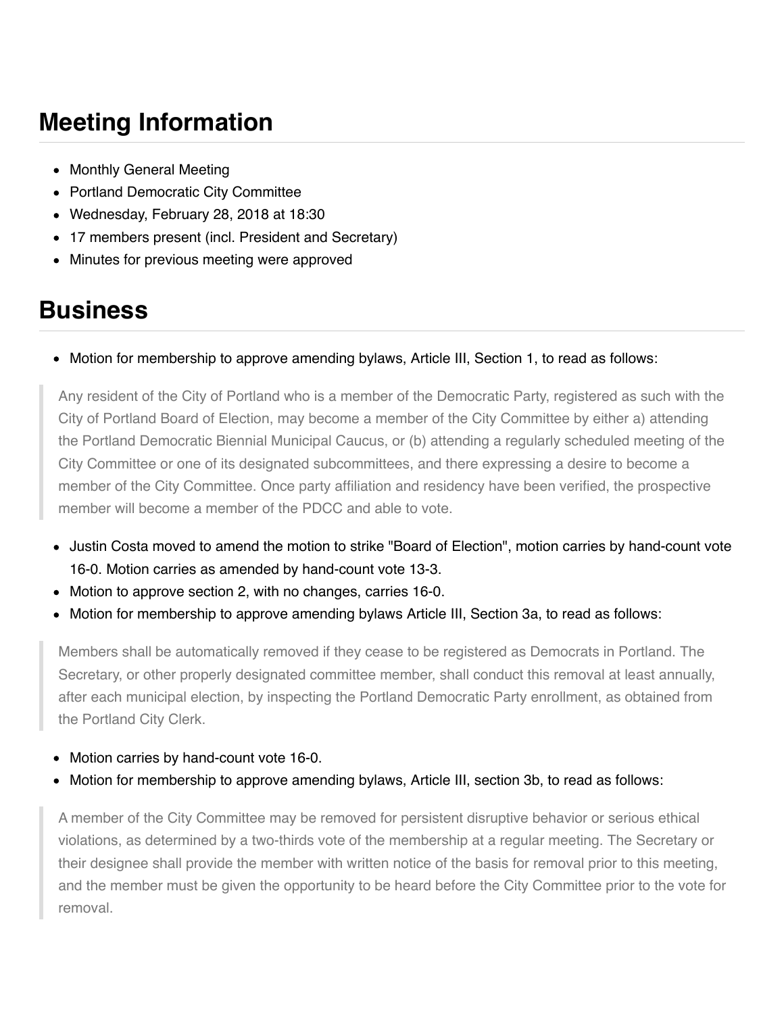## **Meeting Information**

- Monthly General Meeting
- Portland Democratic City Committee
- Wednesday, February 28, 2018 at 18:30
- 17 members present (incl. President and Secretary)
- Minutes for previous meeting were approved

## **Business**

Motion for membership to approve amending bylaws, Article III, Section 1, to read as follows:

Any resident of the City of Portland who is a member of the Democratic Party, registered as such with the City of Portland Board of Election, may become a member of the City Committee by either a) attending the Portland Democratic Biennial Municipal Caucus, or (b) attending a regularly scheduled meeting of the City Committee or one of its designated subcommittees, and there expressing a desire to become a member of the City Committee. Once party affiliation and residency have been verified, the prospective member will become a member of the PDCC and able to vote.

- Justin Costa moved to amend the motion to strike "Board of Election", motion carries by hand-count vote 16-0. Motion carries as amended by hand-count vote 13-3.
- Motion to approve section 2, with no changes, carries 16-0.
- Motion for membership to approve amending bylaws Article III, Section 3a, to read as follows:

Members shall be automatically removed if they cease to be registered as Democrats in Portland. The Secretary, or other properly designated committee member, shall conduct this removal at least annually, after each municipal election, by inspecting the Portland Democratic Party enrollment, as obtained from the Portland City Clerk.

- Motion carries by hand-count vote 16-0.
- Motion for membership to approve amending bylaws, Article III, section 3b, to read as follows:

A member of the City Committee may be removed for persistent disruptive behavior or serious ethical violations, as determined by a two-thirds vote of the membership at a regular meeting. The Secretary or their designee shall provide the member with written notice of the basis for removal prior to this meeting, and the member must be given the opportunity to be heard before the City Committee prior to the vote for removal.